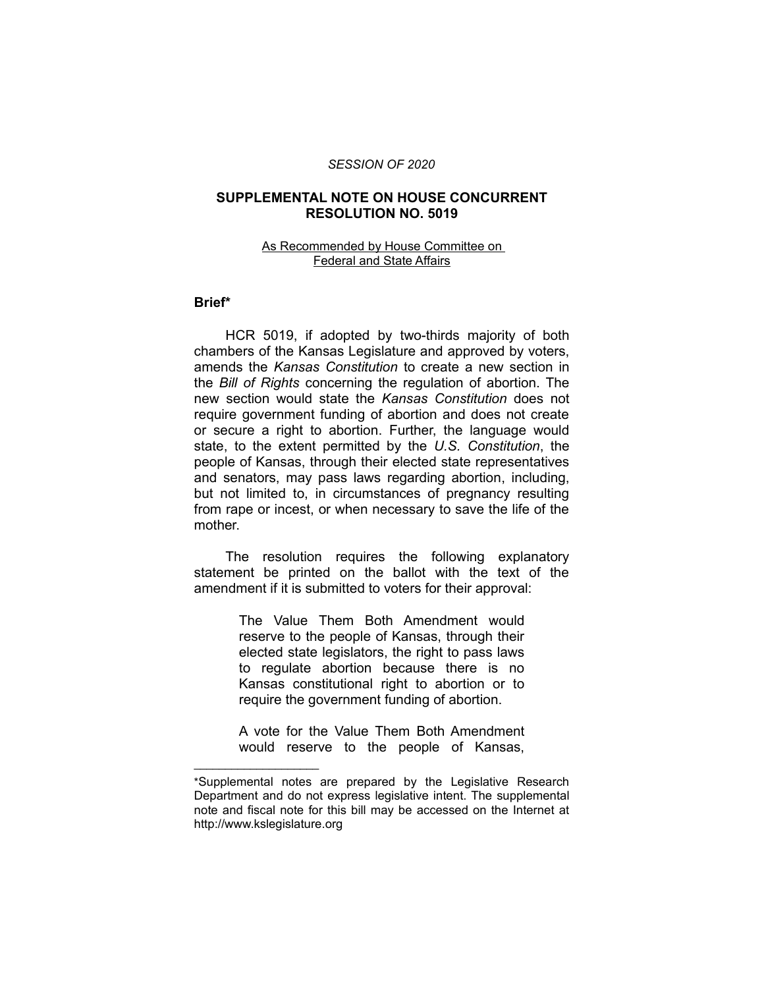#### *SESSION OF 2020*

## **SUPPLEMENTAL NOTE ON HOUSE CONCURRENT RESOLUTION NO. 5019**

### As Recommended by House Committee on Federal and State Affairs

## **Brief\***

HCR 5019, if adopted by two-thirds majority of both chambers of the Kansas Legislature and approved by voters, amends the *Kansas Constitution* to create a new section in the *Bill of Rights* concerning the regulation of abortion. The new section would state the *Kansas Constitution* does not require government funding of abortion and does not create or secure a right to abortion. Further, the language would state, to the extent permitted by the *U.S. Constitution*, the people of Kansas, through their elected state representatives and senators, may pass laws regarding abortion, including, but not limited to, in circumstances of pregnancy resulting from rape or incest, or when necessary to save the life of the mother.

The resolution requires the following explanatory statement be printed on the ballot with the text of the amendment if it is submitted to voters for their approval:

> The Value Them Both Amendment would reserve to the people of Kansas, through their elected state legislators, the right to pass laws to regulate abortion because there is no Kansas constitutional right to abortion or to require the government funding of abortion.

> A vote for the Value Them Both Amendment would reserve to the people of Kansas,

 $\overline{\phantom{a}}$  , where  $\overline{\phantom{a}}$  , where  $\overline{\phantom{a}}$ 

<sup>\*</sup>Supplemental notes are prepared by the Legislative Research Department and do not express legislative intent. The supplemental note and fiscal note for this bill may be accessed on the Internet at http://www.kslegislature.org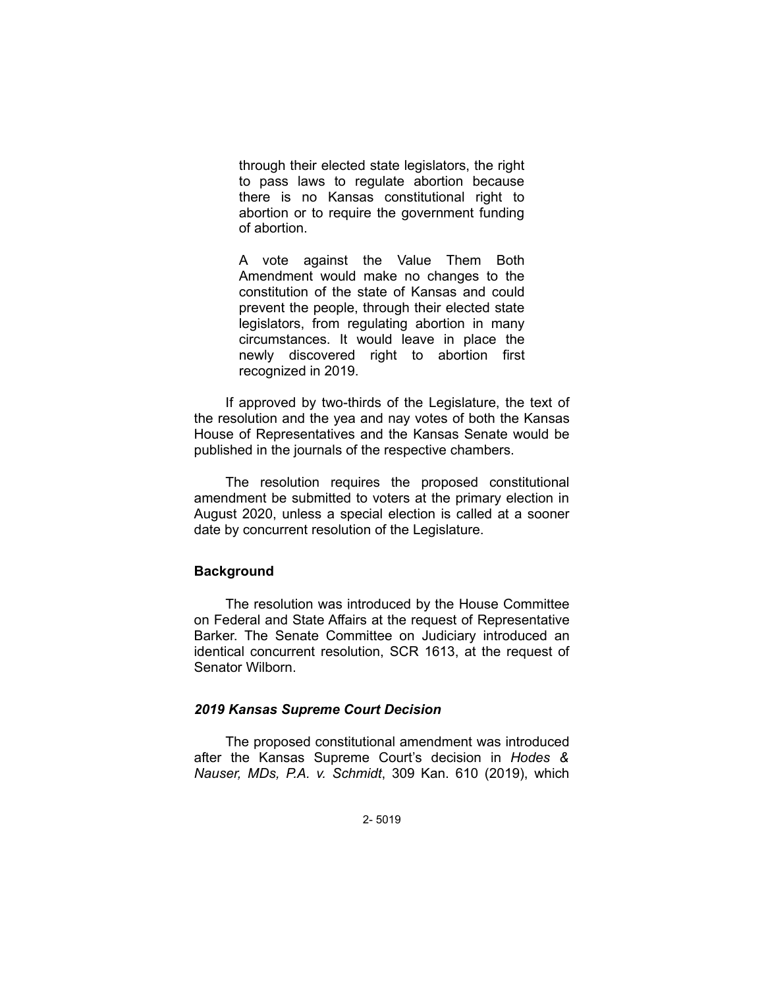through their elected state legislators, the right to pass laws to regulate abortion because there is no Kansas constitutional right to abortion or to require the government funding of abortion.

A vote against the Value Them Both Amendment would make no changes to the constitution of the state of Kansas and could prevent the people, through their elected state legislators, from regulating abortion in many circumstances. It would leave in place the newly discovered right to abortion first recognized in 2019.

If approved by two-thirds of the Legislature, the text of the resolution and the yea and nay votes of both the Kansas House of Representatives and the Kansas Senate would be published in the journals of the respective chambers.

The resolution requires the proposed constitutional amendment be submitted to voters at the primary election in August 2020, unless a special election is called at a sooner date by concurrent resolution of the Legislature.

# **Background**

The resolution was introduced by the House Committee on Federal and State Affairs at the request of Representative Barker. The Senate Committee on Judiciary introduced an identical concurrent resolution, SCR 1613, at the request of Senator Wilborn.

### *2019 Kansas Supreme Court Decision*

The proposed constitutional amendment was introduced after the Kansas Supreme Court's decision in *Hodes & Nauser, MDs, P.A. v. Schmidt*, 309 Kan. 610 (2019), which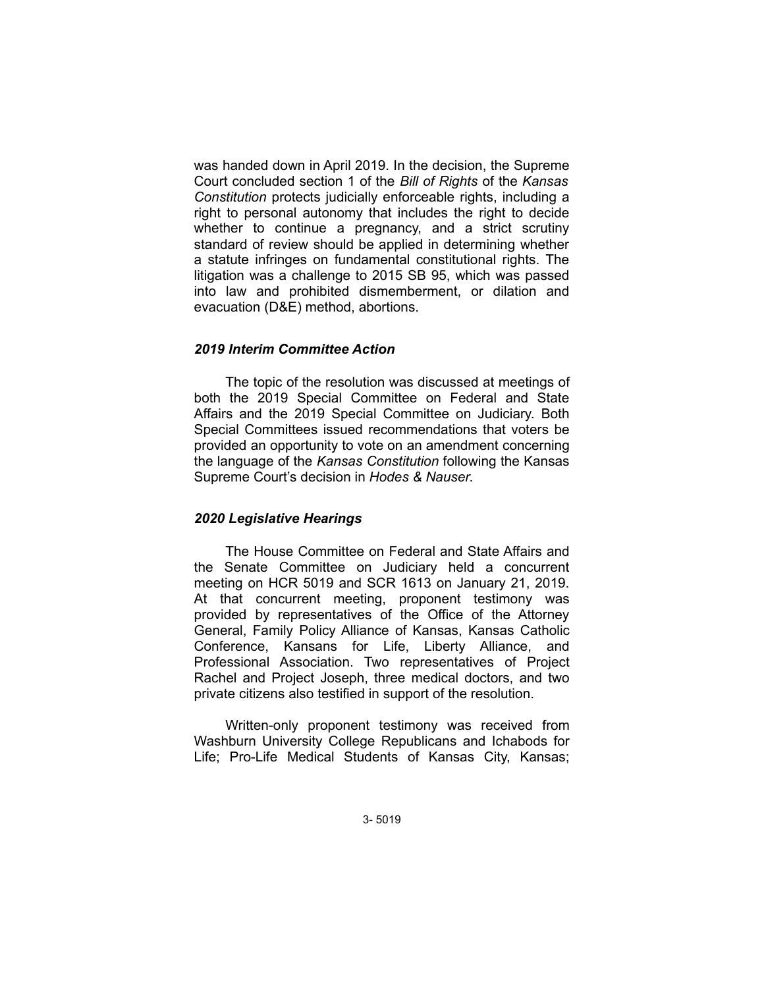was handed down in April 2019. In the decision, the Supreme Court concluded section 1 of the *Bill of Rights* of the *Kansas Constitution* protects judicially enforceable rights, including a right to personal autonomy that includes the right to decide whether to continue a pregnancy, and a strict scrutiny standard of review should be applied in determining whether a statute infringes on fundamental constitutional rights. The litigation was a challenge to 2015 SB 95, which was passed into law and prohibited dismemberment, or dilation and evacuation (D&E) method, abortions.

## *2019 Interim Committee Action*

The topic of the resolution was discussed at meetings of both the 2019 Special Committee on Federal and State Affairs and the 2019 Special Committee on Judiciary. Both Special Committees issued recommendations that voters be provided an opportunity to vote on an amendment concerning the language of the *Kansas Constitution* following the Kansas Supreme Court's decision in *Hodes & Nauser*.

#### *2020 Legislative Hearings*

The House Committee on Federal and State Affairs and the Senate Committee on Judiciary held a concurrent meeting on HCR 5019 and SCR 1613 on January 21, 2019. At that concurrent meeting, proponent testimony was provided by representatives of the Office of the Attorney General, Family Policy Alliance of Kansas, Kansas Catholic Conference, Kansans for Life, Liberty Alliance, and Professional Association. Two representatives of Project Rachel and Project Joseph, three medical doctors, and two private citizens also testified in support of the resolution.

Written-only proponent testimony was received from Washburn University College Republicans and Ichabods for Life; Pro-Life Medical Students of Kansas City, Kansas;